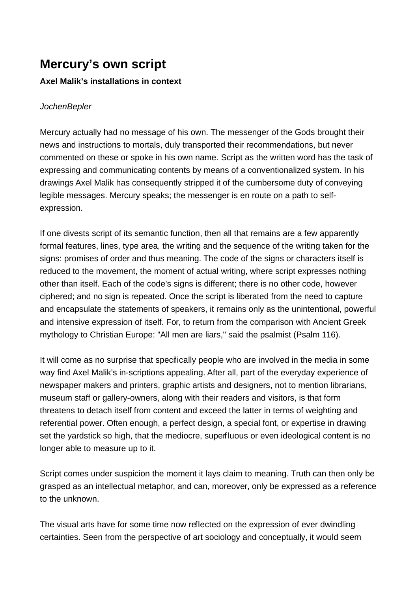## **Mercury's own script**

## **Axel Malik's installations in context**

## **JochenBepler**

Mercury actually had no message of his own. The messenger of the Gods brought their news and instructions to mortals, duly transported their recommendations, but never commented on these or spoke in his own name. Script as the written word has the task of expressing and communicating contents by means of a conventionalized system. In his drawings Axel Malik has consequently stripped it of the cumbersome duty of conveying legible messages. Mercury speaks; the messenger is en route on a path to selfexpression.

If one divests script of its semantic function, then all that remains are a few apparently formal features, lines, type area, the writing and the sequence of the writing taken for the signs: promises of order and thus meaning. The code of the signs or characters itself is reduced to the movement, the moment of actual writing, where script expresses nothing other than itself. Each of the code's signs is different; there is no other code, however ciphered; and no sign is repeated. Once the script is liberated from the need to capture and encapsulate the statements of speakers, it remains only as the unintentional, powerful and intensive expression of itself. For, to return from the comparison with Ancient Greek mythology to Christian Europe: "All men are liars," said the psalmist (Psalm 116).

It will come as no surprise that specifically people who are involved in the media in some way find Axel Malik's in-scriptions appealing. After all, part of the everyday experience of newspaper makers and printers, graphic artists and designers, not to mention librarians, museum staff or gallery-owners, along with their readers and visitors, is that form threatens to detach itself from content and exceed the latter in terms of weighting and referential power. Often enough, a perfect design, a special font, or expertise in drawing set the yardstick so high, that the mediocre, superfluous or even ideological content is no longer able to measure up to it.

Script comes under suspicion the moment it lays claim to meaning. Truth can then only be grasped as an intellectual metaphor, and can, moreover, only be expressed as a reference to the unknown.

The visual arts have for some time now reflected on the expression of ever dwindling certainties. Seen from the perspective of art sociology and conceptually, it would seem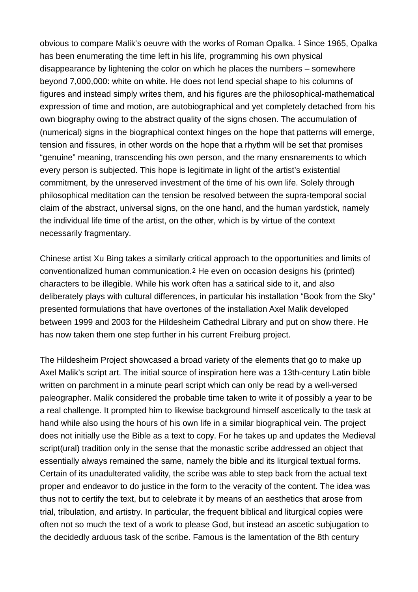obvious to compare Malik's oeuvre with the works of Roman Opalka. 1 Since 1965, Opalka has been enumerating the time left in his life, programming his own physical disappearance by lightening the color on which he places the numbers – somewhere beyond 7,000,000: white on white. He does not lend special shape to his columns of figures and instead simply writes them, and his figures are the philosophical-mathematical expression of time and motion, are autobiographical and yet completely detached from his own biography owing to the abstract quality of the signs chosen. The accumulation of (numerical) signs in the biographical context hinges on the hope that patterns will emerge, tension and fissures, in other words on the hope that a rhythm will be set that promises "genuine" meaning, transcending his own person, and the many ensnarements to which every person is subjected. This hope is legitimate in light of the artist's existential commitment, by the unreserved investment of the time of his own life. Solely through philosophical meditation can the tension be resolved between the supra-temporal social claim of the abstract, universal signs, on the one hand, and the human yardstick, namely the individual life time of the artist, on the other, which is by virtue of the context necessarily fragmentary.

Chinese artist Xu Bing takes a similarly critical approach to the opportunities and limits of conventionalized human communication.2 He even on occasion designs his (printed) characters to be illegible. While his work often has a satirical side to it, and also deliberately plays with cultural differences, in particular his installation "Book from the Sky" presented formulations that have overtones of the installation Axel Malik developed between 1999 and 2003 for the Hildesheim Cathedral Library and put on show there. He has now taken them one step further in his current Freiburg project.

The Hildesheim Project showcased a broad variety of the elements that go to make up Axel Malik's script art. The initial source of inspiration here was a 13th-century Latin bible written on parchment in a minute pearl script which can only be read by a well-versed paleographer. Malik considered the probable time taken to write it of possibly a year to be a real challenge. It prompted him to likewise background himself ascetically to the task at hand while also using the hours of his own life in a similar biographical vein. The project does not initially use the Bible as a text to copy. For he takes up and updates the Medieval script(ural) tradition only in the sense that the monastic scribe addressed an object that essentially always remained the same, namely the bible and its liturgical textual forms. Certain of its unadulterated validity, the scribe was able to step back from the actual text proper and endeavor to do justice in the form to the veracity of the content. The idea was thus not to certify the text, but to celebrate it by means of an aesthetics that arose from trial, tribulation, and artistry. In particular, the frequent biblical and liturgical copies were often not so much the text of a work to please God, but instead an ascetic subjugation to the decidedly arduous task of the scribe. Famous is the lamentation of the 8th century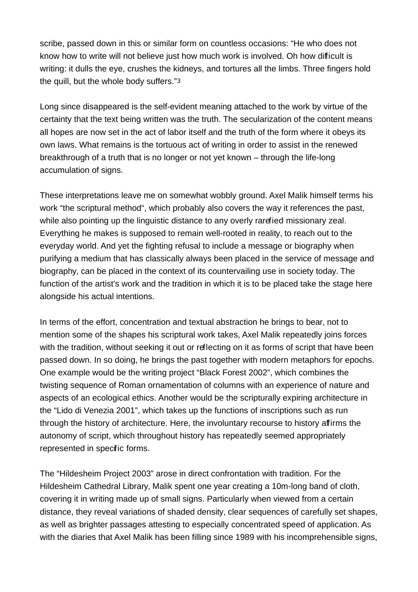scribe, passed down in this or similar form on countless occasions: "He who does not know how to write will not believe just how much work is involved. Oh how difficult is writing: it dulls the eye, crushes the kidneys, and tortures all the limbs. Three fingers hold the quill, but the whole body suffers."3

Long since disappeared is the self-evident meaning attached to the work by virtue of the certainty that the text being written was the truth. The secularization of the content means all hopes are now set in the act of labor itself and the truth of the form where it obeys its own laws. What remains is the tortuous act of writing in order to assist in the renewed breakthrough of a truth that is no longer or not yet known – through the life-long accumulation of signs.

These interpretations leave me on somewhat wobbly ground. Axel Malik himself terms his work "the scriptural method", which probably also covers the way it references the past, while also pointing up the linguistic distance to any overly rarefied missionary zeal. Everything he makes is supposed to remain well-rooted in reality, to reach out to the everyday world. And yet the fighting refusal to include a message or biography when purifying a medium that has classically always been placed in the service of message and biography, can be placed in the context of its countervailing use in society today. The function of the artist's work and the tradition in which it is to be placed take the stage here alongside his actual intentions.

In terms of the effort, concentration and textual abstraction he brings to bear, not to mention some of the shapes his scriptural work takes, Axel Malik repeatedly joins forces with the tradition, without seeking it out or reflecting on it as forms of script that have been passed down. In so doing, he brings the past together with modern metaphors for epochs. One example would be the writing project "Black Forest 2002", which combines the twisting sequence of Roman ornamentation of columns with an experience of nature and aspects of an ecological ethics. Another would be the scripturally expiring architecture in the "Lido di Venezia 2001", which takes up the functions of inscriptions such as run through the history of architecture. Here, the involuntary recourse to history affirms the autonomy of script, which throughout history has repeatedly seemed appropriately represented in specific forms.

The "Hildesheim Project 2003" arose in direct confrontation with tradition. For the Hildesheim Cathedral Library, Malik spent one year creating a 10m-long band of cloth, covering it in writing made up of small signs. Particularly when viewed from a certain distance, they reveal variations of shaded density, clear sequences of carefully set shapes, as well as brighter passages attesting to especially concentrated speed of application. As with the diaries that Axel Malik has been filling since 1989 with his incomprehensible signs,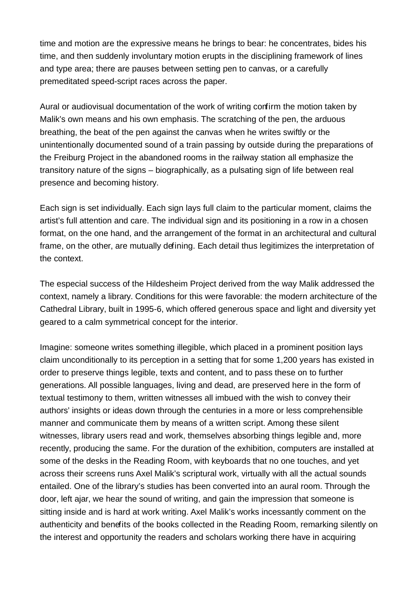time and motion are the expressive means he brings to bear: he concentrates, bides his time, and then suddenly involuntary motion erupts in the disciplining framework of lines and type area; there are pauses between setting pen to canvas, or a carefully premeditated speed-script races across the paper.

Aural or audiovisual documentation of the work of writing confirm the motion taken by Malik's own means and his own emphasis. The scratching of the pen, the arduous breathing, the beat of the pen against the canvas when he writes swiftly or the unintentionally documented sound of a train passing by outside during the preparations of the Freiburg Project in the abandoned rooms in the railway station all emphasize the transitory nature of the signs – biographically, as a pulsating sign of life between real presence and becoming history.

Each sign is set individually. Each sign lays full claim to the particular moment, claims the artist's full attention and care. The individual sign and its positioning in a row in a chosen format, on the one hand, and the arrangement of the format in an architectural and cultural frame, on the other, are mutually defining. Each detail thus legitimizes the interpretation of the context.

The especial success of the Hildesheim Project derived from the way Malik addressed the context, namely a library. Conditions for this were favorable: the modern architecture of the Cathedral Library, built in 1995-6, which offered generous space and light and diversity yet geared to a calm symmetrical concept for the interior.

Imagine: someone writes something illegible, which placed in a prominent position lays claim unconditionally to its perception in a setting that for some 1,200 years has existed in order to preserve things legible, texts and content, and to pass these on to further generations. All possible languages, living and dead, are preserved here in the form of textual testimony to them, written witnesses all imbued with the wish to convey their authors' insights or ideas down through the centuries in a more or less comprehensible manner and communicate them by means of a written script. Among these silent witnesses, library users read and work, themselves absorbing things legible and, more recently, producing the same. For the duration of the exhibition, computers are installed at some of the desks in the Reading Room, with keyboards that no one touches, and yet across their screens runs Axel Malik's scriptural work, virtually with all the actual sounds entailed. One of the library's studies has been converted into an aural room. Through the door, left ajar, we hear the sound of writing, and gain the impression that someone is sitting inside and is hard at work writing. Axel Malik's works incessantly comment on the authenticity and benefits of the books collected in the Reading Room, remarking silently on the interest and opportunity the readers and scholars working there have in acquiring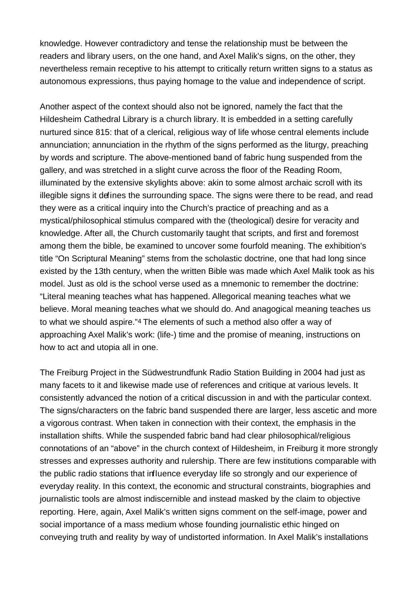knowledge. However contradictory and tense the relationship must be between the readers and library users, on the one hand, and Axel Malik's signs, on the other, they nevertheless remain receptive to his attempt to critically return written signs to a status as autonomous expressions, thus paying homage to the value and independence of script.

Another aspect of the context should also not be ignored, namely the fact that the Hildesheim Cathedral Library is a church library. It is embedded in a setting carefully nurtured since 815: that of a clerical, religious way of life whose central elements include annunciation; annunciation in the rhythm of the signs performed as the liturgy, preaching by words and scripture. The above-mentioned band of fabric hung suspended from the gallery, and was stretched in a slight curve across the floor of the Reading Room, illuminated by the extensive skylights above: akin to some almost archaic scroll with its illegible signs it defines the surrounding space. The signs were there to be read, and read they were as a critical inquiry into the Church's practice of preaching and as a mystical/philosophical stimulus compared with the (theological) desire for veracity and knowledge. After all, the Church customarily taught that scripts, and first and foremost among them the bible, be examined to uncover some fourfold meaning. The exhibition's title "On Scriptural Meaning" stems from the scholastic doctrine, one that had long since existed by the 13th century, when the written Bible was made which Axel Malik took as his model. Just as old is the school verse used as a mnemonic to remember the doctrine: "Literal meaning teaches what has happened. Allegorical meaning teaches what we believe. Moral meaning teaches what we should do. And anagogical meaning teaches us to what we should aspire."4 The elements of such a method also offer a way of approaching Axel Malik's work: (life-) time and the promise of meaning, instructions on how to act and utopia all in one.

The Freiburg Project in the Südwestrundfunk Radio Station Building in 2004 had just as many facets to it and likewise made use of references and critique at various levels. It consistently advanced the notion of a critical discussion in and with the particular context. The signs/characters on the fabric band suspended there are larger, less ascetic and more a vigorous contrast. When taken in connection with their context, the emphasis in the installation shifts. While the suspended fabric band had clear philosophical/religious connotations of an "above" in the church context of Hildesheim, in Freiburg it more strongly stresses and expresses authority and rulership. There are few institutions comparable with the public radio stations that influence everyday life so strongly and our experience of everyday reality. In this context, the economic and structural constraints, biographies and journalistic tools are almost indiscernible and instead masked by the claim to objective reporting. Here, again, Axel Malik's written signs comment on the self-image, power and social importance of a mass medium whose founding journalistic ethic hinged on conveying truth and reality by way of undistorted information. In Axel Malik's installations